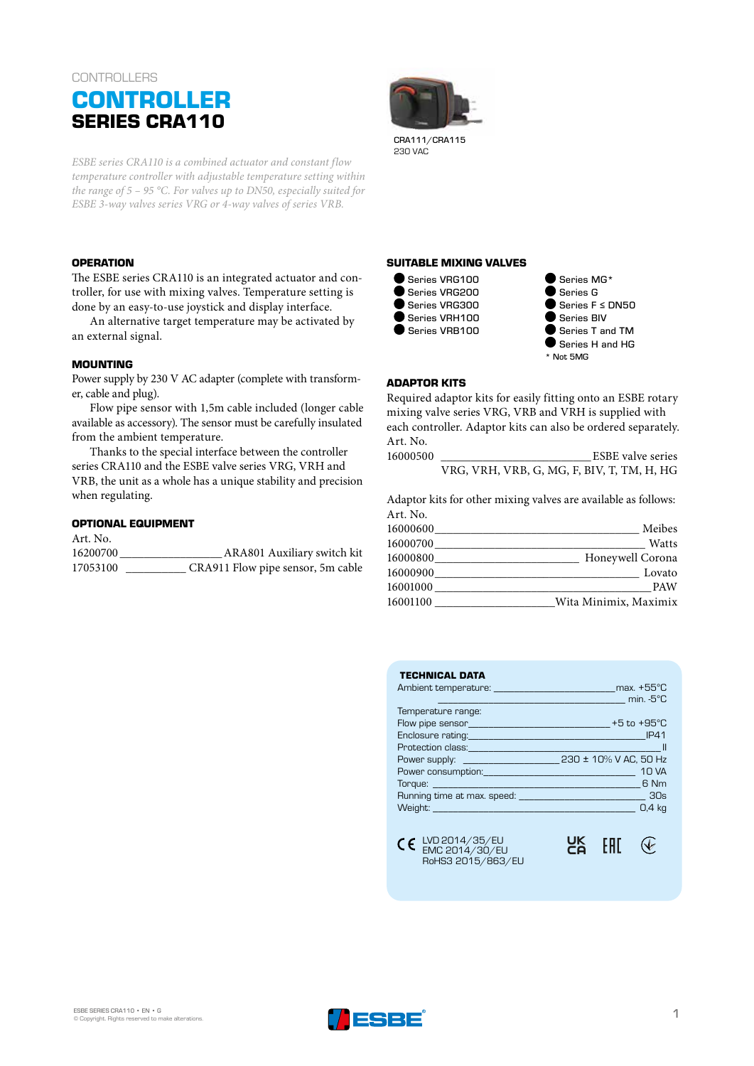# **CONTROLLERS CONTROLLER SERIES CRA110**

*ESBE series CRA110 is a combined actuator and constant flow temperature controller with adjustable temperature setting within the range of 5 – 95 °C. For valves up to DN50, especially suited for ESBE 3-way valves series VRG or 4-way valves of series VRB.* 

#### **OPERATION**

The ESBE series CRA110 is an integrated actuator and controller, for use with mixing valves. Temperature setting is done by an easy-to-use joystick and display interface.

An alternative target temperature may be activated by an external signal.

#### **MOUNTING**

Power supply by 230 V AC adapter (complete with transformer, cable and plug).

Flow pipe sensor with 1,5m cable included (longer cable available as accessory). The sensor must be carefully insulated from the ambient temperature.

Thanks to the special interface between the controller series CRA110 and the ESBE valve series VRG, VRH and VRB, the unit as a whole has a unique stability and precision when regulating.

## **OPTIONAL EQUIPMENT**

| Art. No. |                                   |
|----------|-----------------------------------|
| 16200700 | ARA801 Auxiliary switch kit       |
| 17053100 | CRA911 Flow pipe sensor, 5m cable |



CRA111/CRA115 230 VAC

#### **SUITABLE MIXING VALVES**



● Series MG\* Series G Series F ≤ DN50 Series BIV Series T and TM Series H and HG \* Not 5MG

# **ADAPTOR KITS**

Required adaptor kits for easily fitting onto an ESBE rotary mixing valve series VRG, VRB and VRH is supplied with each controller. Adaptor kits can also be ordered separately. Art. No. 16000500 \_\_\_\_\_\_\_\_\_\_\_\_\_\_\_\_\_\_\_\_\_\_\_\_\_ESBE valve series

VRG, VRH, VRB, G, MG, F, BIV, T, TM, H, HG

Adaptor kits for other mixing valves are available as follows: Art. No.

| Meibes                | 16000600 |
|-----------------------|----------|
| Watts                 | 16000700 |
| Honeywell Corona      | 16000800 |
| Lovato                | 16000900 |
| <b>PAW</b>            | 16001000 |
| Wita Minimix, Maximix | 16001100 |
|                       |          |

| <b>TECHNICAL DATA</b>                                                                                                 |                      |  |  |
|-----------------------------------------------------------------------------------------------------------------------|----------------------|--|--|
| Ambient temperature: experience and all and all and all and all and all and all and all and all and all and all       | max. $+55^{\circ}$ C |  |  |
|                                                                                                                       | min. $-5^{\circ}$ C  |  |  |
| Temperature range:                                                                                                    |                      |  |  |
|                                                                                                                       |                      |  |  |
|                                                                                                                       | <b>IP41</b>          |  |  |
|                                                                                                                       |                      |  |  |
| Power supply: _________________________ 230 ± 10% V AC, 50 Hz                                                         |                      |  |  |
|                                                                                                                       | <b>10 VA</b>         |  |  |
|                                                                                                                       | 6 Nm                 |  |  |
|                                                                                                                       |                      |  |  |
| <b>Weight: Weight:</b> Weight and Weight and Weight and Weight and Weight and Weight and Weight and Weight and Weight | 0.4 <sub>kg</sub>    |  |  |
| CC LVD 2014/35/EU<br>RoHS3 2015/863/EU                                                                                | ŌΚ                   |  |  |
|                                                                                                                       |                      |  |  |